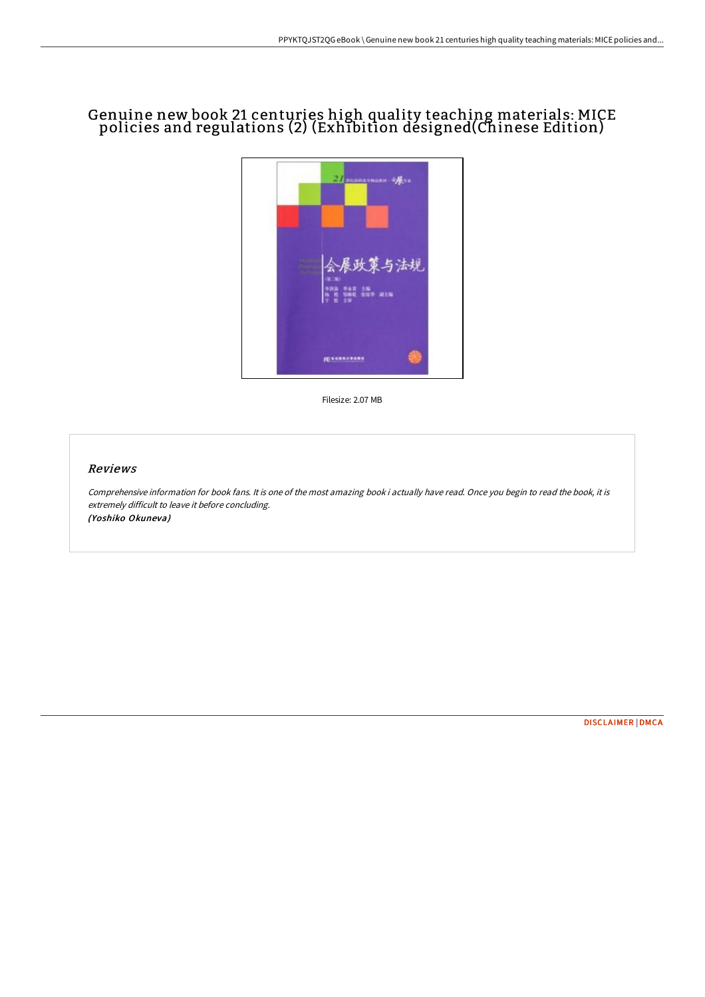## Genuine new book 21 centuries high quality teaching materials: MICE policies and regulations (2) (Exhibition designed(Chinese Edition)



Filesize: 2.07 MB

## Reviews

Comprehensive information for book fans. It is one of the most amazing book i actually have read. Once you begin to read the book, it is extremely difficult to leave it before concluding. (Yoshiko Okuneva)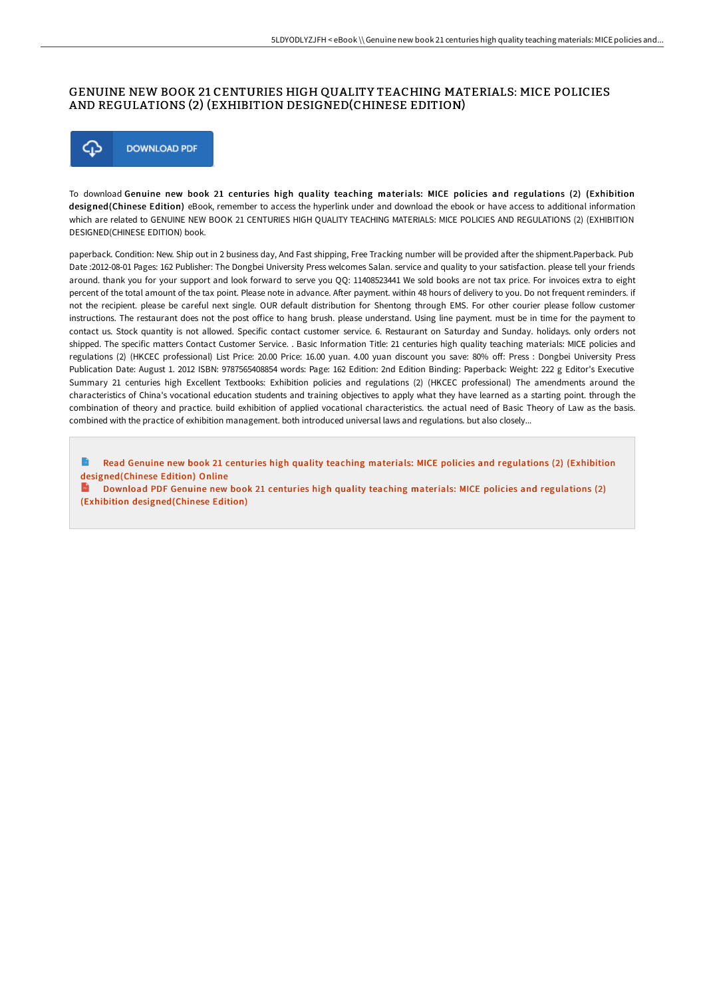## GENUINE NEW BOOK 21 CENTURIES HIGH QUALITY TEACHING MATERIALS: MICE POLICIES AND REGULATIONS (2) (EXHIBITION DESIGNED(CHINESE EDITION)



To download Genuine new book 21 centuries high quality teaching materials: MICE policies and regulations (2) (Exhibition designed(Chinese Edition) eBook, remember to access the hyperlink under and download the ebook or have access to additional information which are related to GENUINE NEW BOOK 21 CENTURIES HIGH QUALITY TEACHING MATERIALS: MICE POLICIES AND REGULATIONS (2) (EXHIBITION DESIGNED(CHINESE EDITION) book.

paperback. Condition: New. Ship out in 2 business day, And Fast shipping, Free Tracking number will be provided after the shipment.Paperback. Pub Date :2012-08-01 Pages: 162 Publisher: The Dongbei University Press welcomes Salan. service and quality to your satisfaction. please tell your friends around. thank you for your support and look forward to serve you QQ: 11408523441 We sold books are not tax price. For invoices extra to eight percent of the total amount of the tax point. Please note in advance. After payment. within 48 hours of delivery to you. Do not frequent reminders. if not the recipient. please be careful next single. OUR default distribution for Shentong through EMS. For other courier please follow customer instructions. The restaurant does not the post office to hang brush. please understand. Using line payment. must be in time for the payment to contact us. Stock quantity is not allowed. Specific contact customer service. 6. Restaurant on Saturday and Sunday. holidays. only orders not shipped. The specific matters Contact Customer Service. . Basic Information Title: 21 centuries high quality teaching materials: MICE policies and regulations (2) (HKCEC professional) List Price: 20.00 Price: 16.00 yuan. 4.00 yuan discount you save: 80% off: Press : Dongbei University Press Publication Date: August 1. 2012 ISBN: 9787565408854 words: Page: 162 Edition: 2nd Edition Binding: Paperback: Weight: 222 g Editor's Executive Summary 21 centuries high Excellent Textbooks: Exhibition policies and regulations (2) (HKCEC professional) The amendments around the characteristics of China's vocational education students and training objectives to apply what they have learned as a starting point. through the combination of theory and practice. build exhibition of applied vocational characteristics. the actual need of Basic Theory of Law as the basis. combined with the practice of exhibition management. both introduced universal laws and regulations. but also closely...

Read Genuine new book 21 centuries high quality teaching materials: MICE policies and regulations (2) (Exhibition [designed\(Chinese](http://digilib.live/genuine-new-book-21-centuries-high-quality-teach-1.html) Edition) Online

 $Hf$ Download PDF Genuine new book 21 centuries high quality teaching materials: MICE policies and regulations (2) (Exhibition [designed\(Chinese](http://digilib.live/genuine-new-book-21-centuries-high-quality-teach-1.html) Edition)